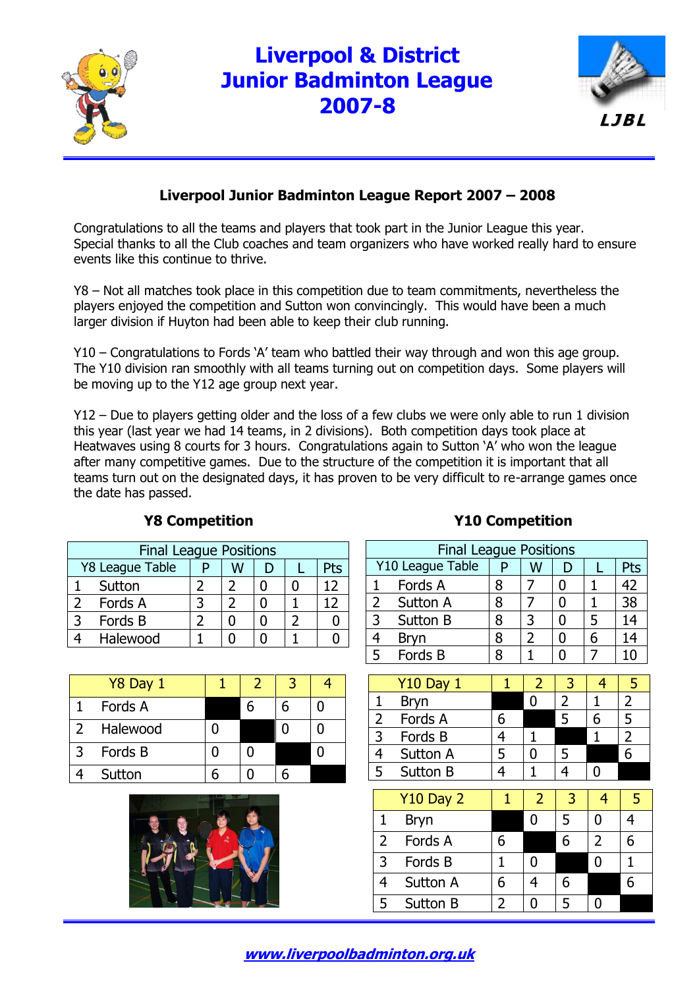

## **Liverpool & District Junior Badminton League 2007-8**



### **Liverpool Junior Badminton League Report 2007 – 2008**

Congratulations to all the teams and players that took part in the Junior League this year. Special thanks to all the Club coaches and team organizers who have worked really hard to ensure events like this continue to thrive.

Y8 – Not all matches took place in this competition due to team commitments, nevertheless the players enjoyed the competition and Sutton won convincingly. This would have been a much larger division if Huyton had been able to keep their club running.

Y10 – Congratulations to Fords 'A' team who battled their way through and won this age group. The Y10 division ran smoothly with all teams turning out on competition days. Some players will be moving up to the Y12 age group next year.

Y12 – Due to players getting older and the loss of a few clubs we were only able to run 1 division this year (last year we had 14 teams, in 2 divisions). Both competition days took place at Heatwaves using 8 courts for 3 hours. Congratulations again to Sutton 'A' who won the league after many competitive games. Due to the structure of the competition it is important that all teams turn out on the designated days, it has proven to be very difficult to re-arrange games once the date has passed.

| <b>Final League Positions</b> |                 |  |   |  |  |     |  |  |
|-------------------------------|-----------------|--|---|--|--|-----|--|--|
|                               | Y8 League Table |  | w |  |  | Pts |  |  |
|                               | Sutton          |  |   |  |  |     |  |  |
|                               | Fords A         |  |   |  |  |     |  |  |
|                               | Fords B         |  |   |  |  |     |  |  |
|                               | Halewood        |  |   |  |  |     |  |  |

|               | Y8 Day 1 |  | З |  |
|---------------|----------|--|---|--|
|               | Fords A  |  |   |  |
| $\mathcal{L}$ | Halewood |  |   |  |
| 3             | Fords B  |  |   |  |
|               | Sutton   |  |   |  |



### **Y8 Competition Y10 Competition**

| <b>Final League Positions</b> |                         |   |   |  |   |    |  |  |
|-------------------------------|-------------------------|---|---|--|---|----|--|--|
|                               | Y10 League Table<br>Pts |   |   |  |   |    |  |  |
|                               | Fords A                 |   |   |  |   | 42 |  |  |
| $\overline{2}$                | <b>Sutton A</b>         | 8 |   |  |   | 38 |  |  |
| 3                             | Sutton B                | 8 | 3 |  | 5 | 14 |  |  |
|                               | <b>Bryn</b>             |   |   |  | 6 | 14 |  |  |
| 5                             | Fords B                 |   |   |  |   | 10 |  |  |

|   | <b>Y10 Day 1</b> |  |  |  |
|---|------------------|--|--|--|
|   | <b>Bryn</b>      |  |  |  |
|   | Fords A          |  |  |  |
| 3 | Fords B          |  |  |  |
|   | Sutton A         |  |  |  |
|   | Sutton B         |  |  |  |

|               | $Y10$ Day 2     |   | 2 | 3 |   | 5 |
|---------------|-----------------|---|---|---|---|---|
|               | <b>Bryn</b>     |   |   |   |   |   |
| $\mathcal{L}$ | Fords A         | 6 |   |   | 2 | 6 |
| 3             | Fords B         |   |   |   |   |   |
|               | <b>Sutton A</b> |   |   | 6 |   |   |
|               | Sutton B        |   |   |   |   |   |